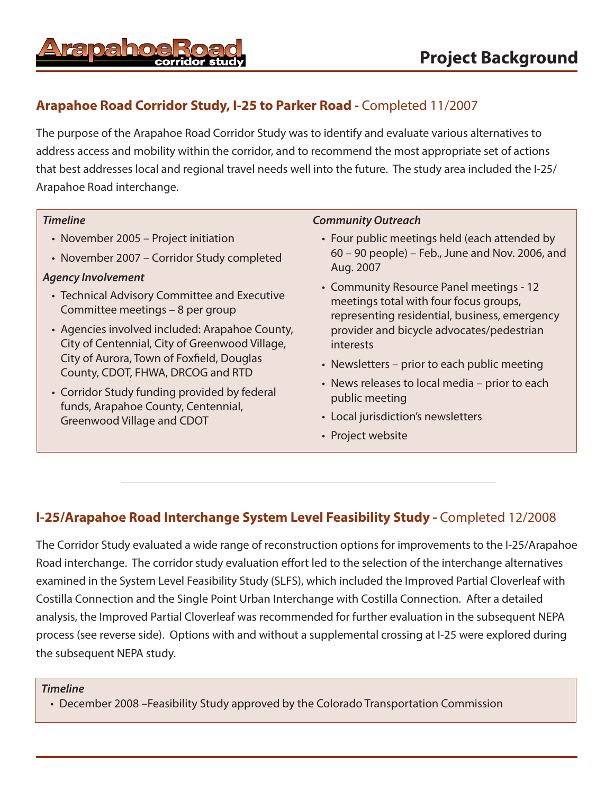# **Arapahoe Road Corridor Study, I-25 to Parker Road -** Completed 11/2007

The purpose of the Arapahoe Road Corridor Study was to identify and evaluate various alternatives to address access and mobility within the corridor, and to recommend the most appropriate set of actions that best addresses local and regional travel needs well into the future. The study area included the I-25/ Arapahoe Road interchange.

## *Timeline*

- November 2005 Project initiation
- November 2007 Corridor Study completed

## *Agency Involvement*

- Technical Advisory Committee and Executive Committee meetings – 8 per group
- Agencies involved included: Arapahoe County, City of Centennial, City of Greenwood Village, City of Aurora, Town of Foxfield, Douglas County, CDOT, FHWA, DRCOG and RTD
- Corridor Study funding provided by federal funds, Arapahoe County, Centennial, Greenwood Village and CDOT

#### *Community Outreach*

- Four public meetings held (each attended by 60 – 90 people) – Feb., June and Nov. 2006, and Aug. 2007
- Community Resource Panel meetings 12 meetings total with four focus groups, representing residential, business, emergency provider and bicycle advocates/pedestrian interests
- Newsletters prior to each public meeting
- News releases to local media prior to each public meeting
- Local jurisdiction's newsletters
- Project website

## **I-25/Arapahoe Road Interchange System Level Feasibility Study -** Completed 12/2008

The Corridor Study evaluated a wide range of reconstruction options for improvements to the I-25/Arapahoe Road interchange. The corridor study evaluation effort led to the selection of the interchange alternatives examined in the System Level Feasibility Study (SLFS), which included the Improved Partial Cloverleaf with Costilla Connection and the Single Point Urban Interchange with Costilla Connection. After a detailed analysis, the Improved Partial Cloverleaf was recommended for further evaluation in the subsequent NEPA process (see reverse side). Options with and without a supplemental crossing at I-25 were explored during the subsequent NEPA study.

#### *Timeline*

• December 2008 –Feasibility Study approved by the Colorado Transportation Commission